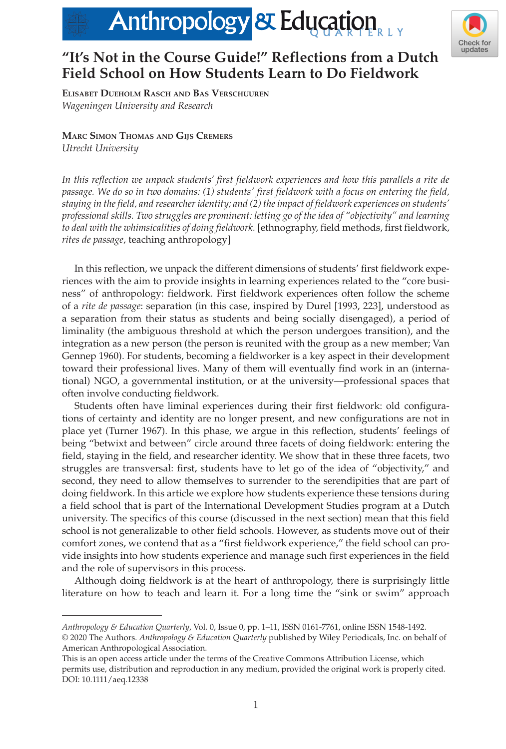# **Anthropology & Education**



# **"It's Not in the Course Guide!" Reflections from a Dutch Field School on How Students Learn to Do Fieldwork**

**Elisabet Dueholm Rasch and Bas Verschuuren** *Wageningen University and Research*

**Marc Simon Thomas and Gijs Cremers**

*Utrecht University*

*In this reflection we unpack students' first fieldwork experiences and how this parallels a rite de passage. We do so in two domains: (1) students' first fieldwork with a focus on entering the field, staying in the field, and researcher identity; and (2) the impact of fieldwork experiences on students' professional skills. Two struggles are prominent: letting go of the idea of "objectivity" and learning to deal with the whimsicalities of doing fieldwork.* [ethnography, field methods, first fieldwork, *rites de passage*, teaching anthropology]

In this reflection, we unpack the different dimensions of students' first fieldwork experiences with the aim to provide insights in learning experiences related to the "core business" of anthropology: fieldwork. First fieldwork experiences often follow the scheme of a *rite de passage*: separation (in this case, inspired by Durel [1993, 223], understood as a separation from their status as students and being socially disengaged), a period of liminality (the ambiguous threshold at which the person undergoes transition), and the integration as a new person (the person is reunited with the group as a new member; Van Gennep 1960). For students, becoming a fieldworker is a key aspect in their development toward their professional lives. Many of them will eventually find work in an (international) NGO, a governmental institution, or at the university—professional spaces that often involve conducting fieldwork.

Students often have liminal experiences during their first fieldwork: old configurations of certainty and identity are no longer present, and new configurations are not in place yet (Turner 1967). In this phase, we argue in this reflection, students' feelings of being "betwixt and between" circle around three facets of doing fieldwork: entering the field, staying in the field, and researcher identity. We show that in these three facets, two struggles are transversal: first, students have to let go of the idea of "objectivity," and second, they need to allow themselves to surrender to the serendipities that are part of doing fieldwork. In this article we explore how students experience these tensions during a field school that is part of the International Development Studies program at a Dutch university. The specifics of this course (discussed in the next section) mean that this field school is not generalizable to other field schools. However, as students move out of their comfort zones, we contend that as a "first fieldwork experience," the field school can provide insights into how students experience and manage such first experiences in the field and the role of supervisors in this process.

Although doing fieldwork is at the heart of anthropology, there is surprisingly little literature on how to teach and learn it. For a long time the "sink or swim" approach

*Anthropology & Education Quarterly*, Vol. 0, Issue 0, pp. 1–11, ISSN 0161-7761, online ISSN 1548-1492. © 2020 The Authors. *Anthropology & Education Quarterly* published by Wiley Periodicals, Inc. on behalf of American Anthropological Association.

This is an open access article under the terms of the [Creative Commons Attribution](http://creativecommons.org/licenses/by/4.0/) License, which permits use, distribution and reproduction in any medium, provided the original work is properly cited. DOI: 10.1111/aeq.12338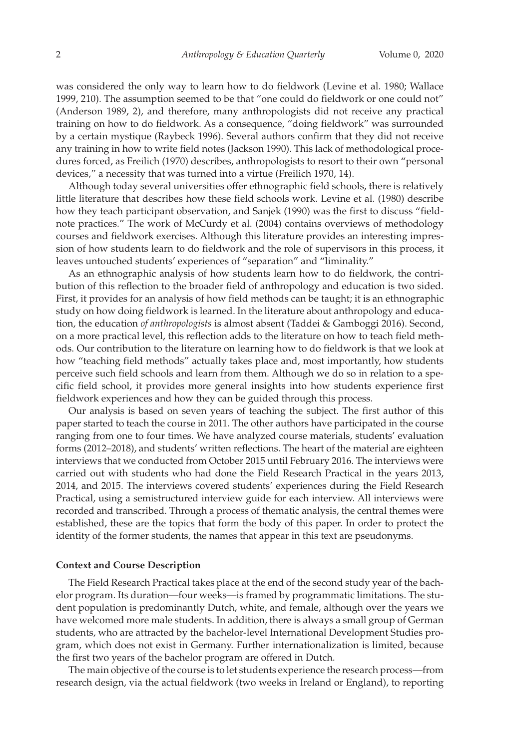was considered the only way to learn how to do fieldwork (Levine et al. 1980; Wallace 1999, 210). The assumption seemed to be that "one could do fieldwork or one could not" (Anderson 1989, 2), and therefore, many anthropologists did not receive any practical training on how to do fieldwork. As a consequence, "doing fieldwork" was surrounded by a certain mystique (Raybeck 1996). Several authors confirm that they did not receive any training in how to write field notes (Jackson 1990). This lack of methodological procedures forced, as Freilich (1970) describes, anthropologists to resort to their own "personal devices," a necessity that was turned into a virtue (Freilich 1970, 14).

Although today several universities offer ethnographic field schools, there is relatively little literature that describes how these field schools work. Levine et al. (1980) describe how they teach participant observation, and Sanjek (1990) was the first to discuss "fieldnote practices." The work of McCurdy et al. (2004) contains overviews of methodology courses and fieldwork exercises. Although this literature provides an interesting impression of how students learn to do fieldwork and the role of supervisors in this process, it leaves untouched students' experiences of "separation" and "liminality."

As an ethnographic analysis of how students learn how to do fieldwork, the contribution of this reflection to the broader field of anthropology and education is two sided. First, it provides for an analysis of how field methods can be taught; it is an ethnographic study on how doing fieldwork is learned. In the literature about anthropology and education, the education *of anthropologists* is almost absent (Taddei & Gamboggi 2016). Second, on a more practical level, this reflection adds to the literature on how to teach field methods. Our contribution to the literature on learning how to do fieldwork is that we look at how "teaching field methods" actually takes place and, most importantly, how students perceive such field schools and learn from them. Although we do so in relation to a specific field school, it provides more general insights into how students experience first fieldwork experiences and how they can be guided through this process.

Our analysis is based on seven years of teaching the subject. The first author of this paper started to teach the course in 2011. The other authors have participated in the course ranging from one to four times. We have analyzed course materials, students' evaluation forms (2012–2018), and students' written reflections. The heart of the material are eighteen interviews that we conducted from October 2015 until February 2016. The interviews were carried out with students who had done the Field Research Practical in the years 2013, 2014, and 2015. The interviews covered students' experiences during the Field Research Practical, using a semistructured interview guide for each interview. All interviews were recorded and transcribed. Through a process of thematic analysis, the central themes were established, these are the topics that form the body of this paper. In order to protect the identity of the former students, the names that appear in this text are pseudonyms.

# **Context and Course Description**

The Field Research Practical takes place at the end of the second study year of the bachelor program. Its duration—four weeks—is framed by programmatic limitations. The student population is predominantly Dutch, white, and female, although over the years we have welcomed more male students. In addition, there is always a small group of German students, who are attracted by the bachelor-level International Development Studies program, which does not exist in Germany. Further internationalization is limited, because the first two years of the bachelor program are offered in Dutch.

The main objective of the course is to let students experience the research process—from research design, via the actual fieldwork (two weeks in Ireland or England), to reporting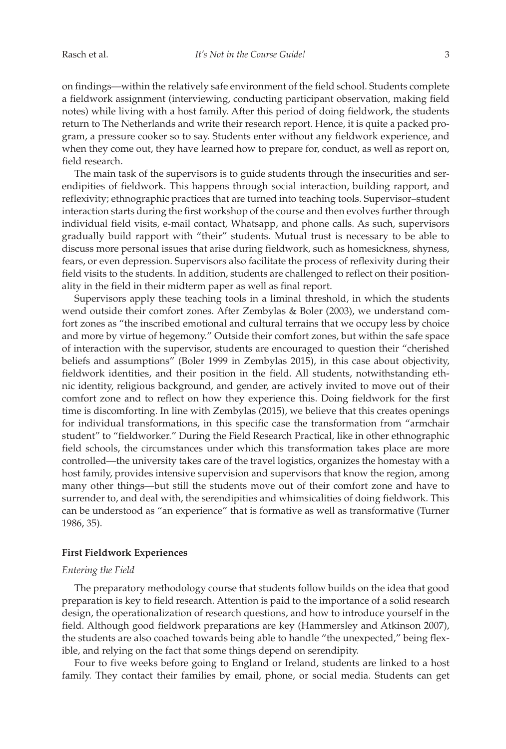on findings—within the relatively safe environment of the field school. Students complete a fieldwork assignment (interviewing, conducting participant observation, making field notes) while living with a host family. After this period of doing fieldwork, the students return to The Netherlands and write their research report. Hence, it is quite a packed program, a pressure cooker so to say. Students enter without any fieldwork experience, and when they come out, they have learned how to prepare for, conduct, as well as report on, field research.

The main task of the supervisors is to guide students through the insecurities and serendipities of fieldwork. This happens through social interaction, building rapport, and reflexivity; ethnographic practices that are turned into teaching tools. Supervisor–student interaction starts during the first workshop of the course and then evolves further through individual field visits, e-mail contact, Whatsapp, and phone calls. As such, supervisors gradually build rapport with "their" students. Mutual trust is necessary to be able to discuss more personal issues that arise during fieldwork, such as homesickness, shyness, fears, or even depression. Supervisors also facilitate the process of reflexivity during their field visits to the students. In addition, students are challenged to reflect on their positionality in the field in their midterm paper as well as final report.

Supervisors apply these teaching tools in a liminal threshold, in which the students wend outside their comfort zones. After Zembylas & Boler (2003), we understand comfort zones as "the inscribed emotional and cultural terrains that we occupy less by choice and more by virtue of hegemony." Outside their comfort zones, but within the safe space of interaction with the supervisor, students are encouraged to question their "cherished beliefs and assumptions" (Boler 1999 in Zembylas 2015), in this case about objectivity, fieldwork identities, and their position in the field. All students, notwithstanding ethnic identity, religious background, and gender, are actively invited to move out of their comfort zone and to reflect on how they experience this. Doing fieldwork for the first time is discomforting. In line with Zembylas (2015), we believe that this creates openings for individual transformations, in this specific case the transformation from "armchair student" to "fieldworker." During the Field Research Practical, like in other ethnographic field schools, the circumstances under which this transformation takes place are more controlled—the university takes care of the travel logistics, organizes the homestay with a host family, provides intensive supervision and supervisors that know the region, among many other things—but still the students move out of their comfort zone and have to surrender to, and deal with, the serendipities and whimsicalities of doing fieldwork. This can be understood as "an experience" that is formative as well as transformative (Turner 1986, 35).

#### **First Fieldwork Experiences**

#### *Entering the Field*

The preparatory methodology course that students follow builds on the idea that good preparation is key to field research. Attention is paid to the importance of a solid research design, the operationalization of research questions, and how to introduce yourself in the field. Although good fieldwork preparations are key (Hammersley and Atkinson 2007), the students are also coached towards being able to handle "the unexpected," being flexible, and relying on the fact that some things depend on serendipity.

Four to five weeks before going to England or Ireland, students are linked to a host family. They contact their families by email, phone, or social media. Students can get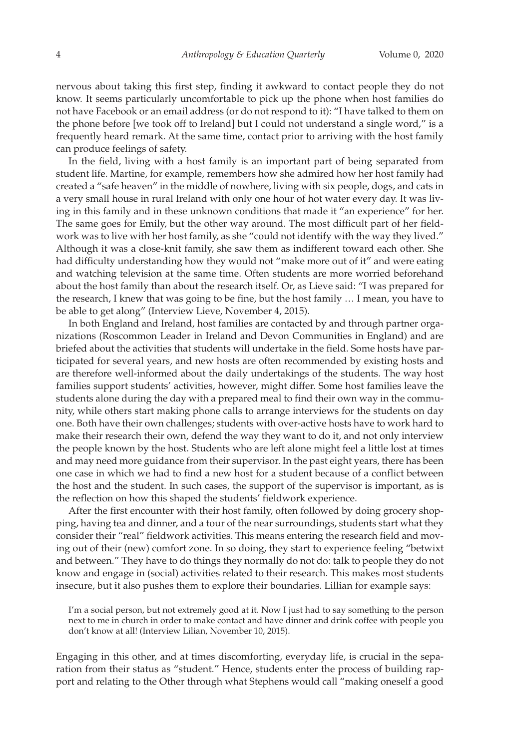nervous about taking this first step, finding it awkward to contact people they do not know. It seems particularly uncomfortable to pick up the phone when host families do not have Facebook or an email address (or do not respond to it): "I have talked to them on the phone before [we took off to Ireland] but I could not understand a single word," is a frequently heard remark. At the same time, contact prior to arriving with the host family can produce feelings of safety.

In the field, living with a host family is an important part of being separated from student life. Martine, for example, remembers how she admired how her host family had created a "safe heaven" in the middle of nowhere, living with six people, dogs, and cats in a very small house in rural Ireland with only one hour of hot water every day. It was living in this family and in these unknown conditions that made it "an experience" for her. The same goes for Emily, but the other way around. The most difficult part of her fieldwork was to live with her host family, as she "could not identify with the way they lived." Although it was a close-knit family, she saw them as indifferent toward each other. She had difficulty understanding how they would not "make more out of it" and were eating and watching television at the same time. Often students are more worried beforehand about the host family than about the research itself. Or, as Lieve said: "I was prepared for the research, I knew that was going to be fine, but the host family … I mean, you have to be able to get along" (Interview Lieve, November 4, 2015).

In both England and Ireland, host families are contacted by and through partner organizations (Roscommon Leader in Ireland and Devon Communities in England) and are briefed about the activities that students will undertake in the field. Some hosts have participated for several years, and new hosts are often recommended by existing hosts and are therefore well-informed about the daily undertakings of the students. The way host families support students' activities, however, might differ. Some host families leave the students alone during the day with a prepared meal to find their own way in the community, while others start making phone calls to arrange interviews for the students on day one. Both have their own challenges; students with over-active hosts have to work hard to make their research their own, defend the way they want to do it, and not only interview the people known by the host. Students who are left alone might feel a little lost at times and may need more guidance from their supervisor. In the past eight years, there has been one case in which we had to find a new host for a student because of a conflict between the host and the student. In such cases, the support of the supervisor is important, as is the reflection on how this shaped the students' fieldwork experience.

After the first encounter with their host family, often followed by doing grocery shopping, having tea and dinner, and a tour of the near surroundings, students start what they consider their "real" fieldwork activities. This means entering the research field and moving out of their (new) comfort zone. In so doing, they start to experience feeling "betwixt and between." They have to do things they normally do not do: talk to people they do not know and engage in (social) activities related to their research. This makes most students insecure, but it also pushes them to explore their boundaries. Lillian for example says:

I'm a social person, but not extremely good at it. Now I just had to say something to the person next to me in church in order to make contact and have dinner and drink coffee with people you don't know at all! (Interview Lilian, November 10, 2015).

Engaging in this other, and at times discomforting, everyday life, is crucial in the separation from their status as "student." Hence, students enter the process of building rapport and relating to the Other through what Stephens would call "making oneself a good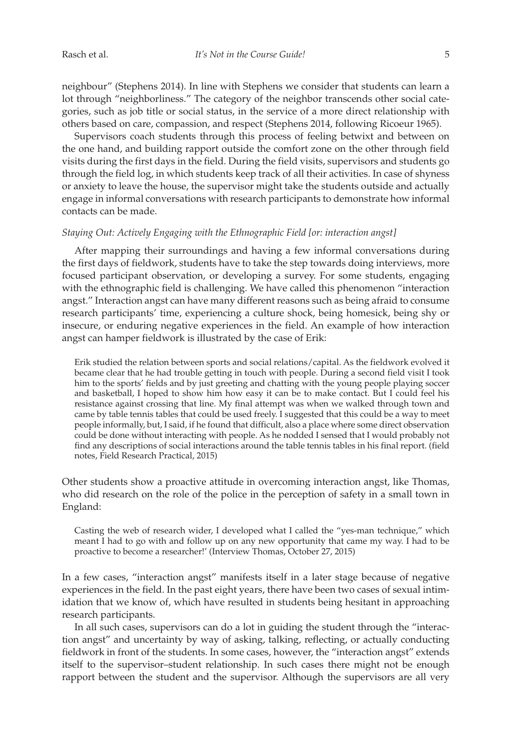neighbour" (Stephens 2014). In line with Stephens we consider that students can learn a lot through "neighborliness." The category of the neighbor transcends other social categories, such as job title or social status, in the service of a more direct relationship with others based on care, compassion, and respect (Stephens 2014, following Ricoeur 1965).

Supervisors coach students through this process of feeling betwixt and between on the one hand, and building rapport outside the comfort zone on the other through field visits during the first days in the field. During the field visits, supervisors and students go through the field log, in which students keep track of all their activities. In case of shyness or anxiety to leave the house, the supervisor might take the students outside and actually engage in informal conversations with research participants to demonstrate how informal contacts can be made.

## *Staying Out: Actively Engaging with the Ethnographic Field [or: interaction angst]*

After mapping their surroundings and having a few informal conversations during the first days of fieldwork, students have to take the step towards doing interviews, more focused participant observation, or developing a survey. For some students, engaging with the ethnographic field is challenging. We have called this phenomenon "interaction angst." Interaction angst can have many different reasons such as being afraid to consume research participants' time, experiencing a culture shock, being homesick, being shy or insecure, or enduring negative experiences in the field. An example of how interaction angst can hamper fieldwork is illustrated by the case of Erik:

Erik studied the relation between sports and social relations/capital. As the fieldwork evolved it became clear that he had trouble getting in touch with people. During a second field visit I took him to the sports' fields and by just greeting and chatting with the young people playing soccer and basketball, I hoped to show him how easy it can be to make contact. But I could feel his resistance against crossing that line. My final attempt was when we walked through town and came by table tennis tables that could be used freely. I suggested that this could be a way to meet people informally, but, I said, if he found that difficult, also a place where some direct observation could be done without interacting with people. As he nodded I sensed that I would probably not find any descriptions of social interactions around the table tennis tables in his final report. (field notes, Field Research Practical, 2015)

Other students show a proactive attitude in overcoming interaction angst, like Thomas, who did research on the role of the police in the perception of safety in a small town in England:

Casting the web of research wider, I developed what I called the "yes-man technique," which meant I had to go with and follow up on any new opportunity that came my way. I had to be proactive to become a researcher!' (Interview Thomas, October 27, 2015)

In a few cases, "interaction angst" manifests itself in a later stage because of negative experiences in the field. In the past eight years, there have been two cases of sexual intimidation that we know of, which have resulted in students being hesitant in approaching research participants.

In all such cases, supervisors can do a lot in guiding the student through the "interaction angst" and uncertainty by way of asking, talking, reflecting, or actually conducting fieldwork in front of the students. In some cases, however, the "interaction angst" extends itself to the supervisor–student relationship. In such cases there might not be enough rapport between the student and the supervisor. Although the supervisors are all very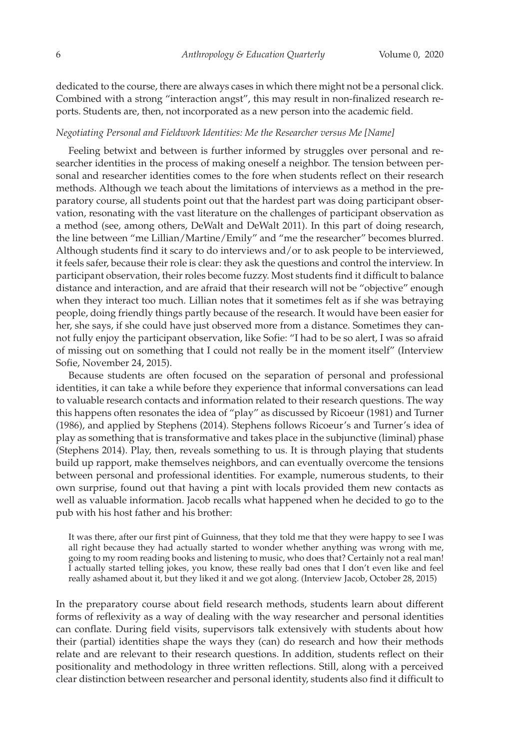dedicated to the course, there are always cases in which there might not be a personal click. Combined with a strong "interaction angst", this may result in non-finalized research reports. Students are, then, not incorporated as a new person into the academic field.

#### *Negotiating Personal and Fieldwork Identities: Me the Researcher versus Me [Name]*

Feeling betwixt and between is further informed by struggles over personal and researcher identities in the process of making oneself a neighbor. The tension between personal and researcher identities comes to the fore when students reflect on their research methods. Although we teach about the limitations of interviews as a method in the preparatory course, all students point out that the hardest part was doing participant observation, resonating with the vast literature on the challenges of participant observation as a method (see, among others, DeWalt and DeWalt 2011). In this part of doing research, the line between "me Lillian/Martine/Emily" and "me the researcher" becomes blurred. Although students find it scary to do interviews and/or to ask people to be interviewed, it feels safer, because their role is clear: they ask the questions and control the interview. In participant observation, their roles become fuzzy. Most students find it difficult to balance distance and interaction, and are afraid that their research will not be "objective" enough when they interact too much. Lillian notes that it sometimes felt as if she was betraying people, doing friendly things partly because of the research. It would have been easier for her, she says, if she could have just observed more from a distance. Sometimes they cannot fully enjoy the participant observation, like Sofie: "I had to be so alert, I was so afraid of missing out on something that I could not really be in the moment itself" (Interview Sofie, November 24, 2015).

Because students are often focused on the separation of personal and professional identities, it can take a while before they experience that informal conversations can lead to valuable research contacts and information related to their research questions. The way this happens often resonates the idea of "play" as discussed by Ricoeur (1981) and Turner (1986), and applied by Stephens (2014). Stephens follows Ricoeur's and Turner's idea of play as something that is transformative and takes place in the subjunctive (liminal) phase (Stephens 2014). Play, then, reveals something to us. It is through playing that students build up rapport, make themselves neighbors, and can eventually overcome the tensions between personal and professional identities. For example, numerous students, to their own surprise, found out that having a pint with locals provided them new contacts as well as valuable information. Jacob recalls what happened when he decided to go to the pub with his host father and his brother:

It was there, after our first pint of Guinness, that they told me that they were happy to see I was all right because they had actually started to wonder whether anything was wrong with me, going to my room reading books and listening to music, who does that? Certainly not a real man! I actually started telling jokes, you know, these really bad ones that I don't even like and feel really ashamed about it, but they liked it and we got along. (Interview Jacob, October 28, 2015)

In the preparatory course about field research methods, students learn about different forms of reflexivity as a way of dealing with the way researcher and personal identities can conflate. During field visits, supervisors talk extensively with students about how their (partial) identities shape the ways they (can) do research and how their methods relate and are relevant to their research questions. In addition, students reflect on their positionality and methodology in three written reflections. Still, along with a perceived clear distinction between researcher and personal identity, students also find it difficult to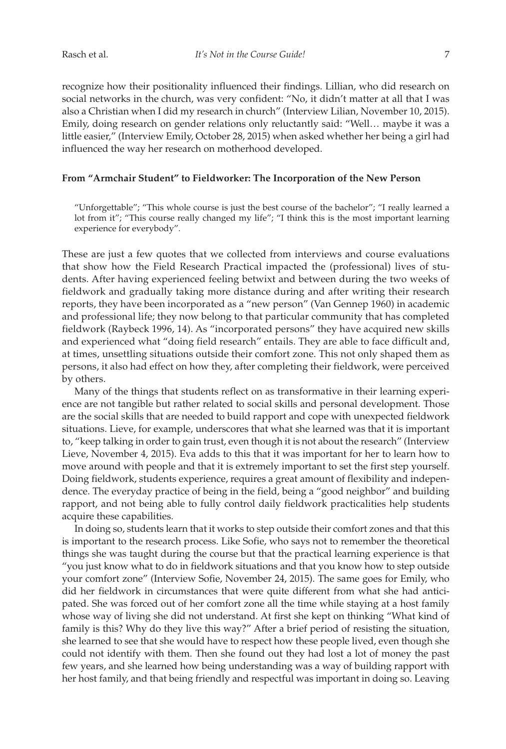recognize how their positionality influenced their findings. Lillian, who did research on social networks in the church, was very confident: "No, it didn't matter at all that I was also a Christian when I did my research in church" (Interview Lilian, November 10, 2015). Emily, doing research on gender relations only reluctantly said: "Well… maybe it was a little easier," (Interview Emily, October 28, 2015) when asked whether her being a girl had influenced the way her research on motherhood developed.

# **From "Armchair Student" to Fieldworker: The Incorporation of the New Person**

"Unforgettable"; "This whole course is just the best course of the bachelor"; "I really learned a lot from it"; "This course really changed my life"; "I think this is the most important learning experience for everybody".

These are just a few quotes that we collected from interviews and course evaluations that show how the Field Research Practical impacted the (professional) lives of students. After having experienced feeling betwixt and between during the two weeks of fieldwork and gradually taking more distance during and after writing their research reports, they have been incorporated as a "new person" (Van Gennep 1960) in academic and professional life; they now belong to that particular community that has completed fieldwork (Raybeck 1996, 14). As "incorporated persons" they have acquired new skills and experienced what "doing field research" entails. They are able to face difficult and, at times, unsettling situations outside their comfort zone. This not only shaped them as persons, it also had effect on how they, after completing their fieldwork, were perceived by others.

Many of the things that students reflect on as transformative in their learning experience are not tangible but rather related to social skills and personal development. Those are the social skills that are needed to build rapport and cope with unexpected fieldwork situations. Lieve, for example, underscores that what she learned was that it is important to, "keep talking in order to gain trust, even though it is not about the research" (Interview Lieve, November 4, 2015). Eva adds to this that it was important for her to learn how to move around with people and that it is extremely important to set the first step yourself. Doing fieldwork, students experience, requires a great amount of flexibility and independence. The everyday practice of being in the field, being a "good neighbor" and building rapport, and not being able to fully control daily fieldwork practicalities help students acquire these capabilities.

In doing so, students learn that it works to step outside their comfort zones and that this is important to the research process. Like Sofie, who says not to remember the theoretical things she was taught during the course but that the practical learning experience is that "you just know what to do in fieldwork situations and that you know how to step outside your comfort zone" (Interview Sofie, November 24, 2015). The same goes for Emily, who did her fieldwork in circumstances that were quite different from what she had anticipated. She was forced out of her comfort zone all the time while staying at a host family whose way of living she did not understand. At first she kept on thinking "What kind of family is this? Why do they live this way?" After a brief period of resisting the situation, she learned to see that she would have to respect how these people lived, even though she could not identify with them. Then she found out they had lost a lot of money the past few years, and she learned how being understanding was a way of building rapport with her host family, and that being friendly and respectful was important in doing so. Leaving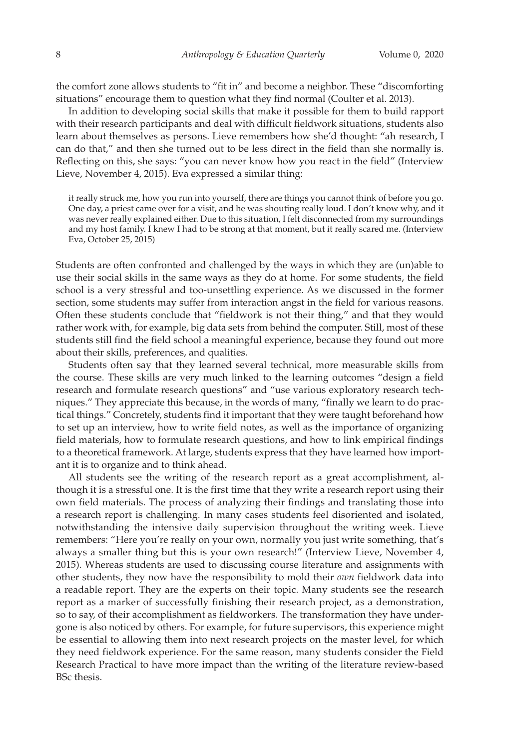the comfort zone allows students to "fit in" and become a neighbor. These "discomforting situations" encourage them to question what they find normal (Coulter et al. 2013).

In addition to developing social skills that make it possible for them to build rapport with their research participants and deal with difficult fieldwork situations, students also learn about themselves as persons. Lieve remembers how she'd thought: "ah research, I can do that," and then she turned out to be less direct in the field than she normally is. Reflecting on this, she says: "you can never know how you react in the field" (Interview Lieve, November 4, 2015). Eva expressed a similar thing:

it really struck me, how you run into yourself, there are things you cannot think of before you go. One day, a priest came over for a visit, and he was shouting really loud. I don't know why, and it was never really explained either. Due to this situation, I felt disconnected from my surroundings and my host family. I knew I had to be strong at that moment, but it really scared me. (Interview Eva, October 25, 2015)

Students are often confronted and challenged by the ways in which they are (un)able to use their social skills in the same ways as they do at home. For some students, the field school is a very stressful and too-unsettling experience. As we discussed in the former section, some students may suffer from interaction angst in the field for various reasons. Often these students conclude that "fieldwork is not their thing," and that they would rather work with, for example, big data sets from behind the computer. Still, most of these students still find the field school a meaningful experience, because they found out more about their skills, preferences, and qualities.

Students often say that they learned several technical, more measurable skills from the course. These skills are very much linked to the learning outcomes "design a field research and formulate research questions" and "use various exploratory research techniques." They appreciate this because, in the words of many, "finally we learn to do practical things." Concretely, students find it important that they were taught beforehand how to set up an interview, how to write field notes, as well as the importance of organizing field materials, how to formulate research questions, and how to link empirical findings to a theoretical framework. At large, students express that they have learned how important it is to organize and to think ahead.

All students see the writing of the research report as a great accomplishment, although it is a stressful one. It is the first time that they write a research report using their own field materials. The process of analyzing their findings and translating those into a research report is challenging. In many cases students feel disoriented and isolated, notwithstanding the intensive daily supervision throughout the writing week. Lieve remembers: "Here you're really on your own, normally you just write something, that's always a smaller thing but this is your own research!" (Interview Lieve, November 4, 2015). Whereas students are used to discussing course literature and assignments with other students, they now have the responsibility to mold their *own* fieldwork data into a readable report. They are the experts on their topic. Many students see the research report as a marker of successfully finishing their research project, as a demonstration, so to say, of their accomplishment as fieldworkers. The transformation they have undergone is also noticed by others. For example, for future supervisors, this experience might be essential to allowing them into next research projects on the master level, for which they need fieldwork experience. For the same reason, many students consider the Field Research Practical to have more impact than the writing of the literature review-based BSc thesis.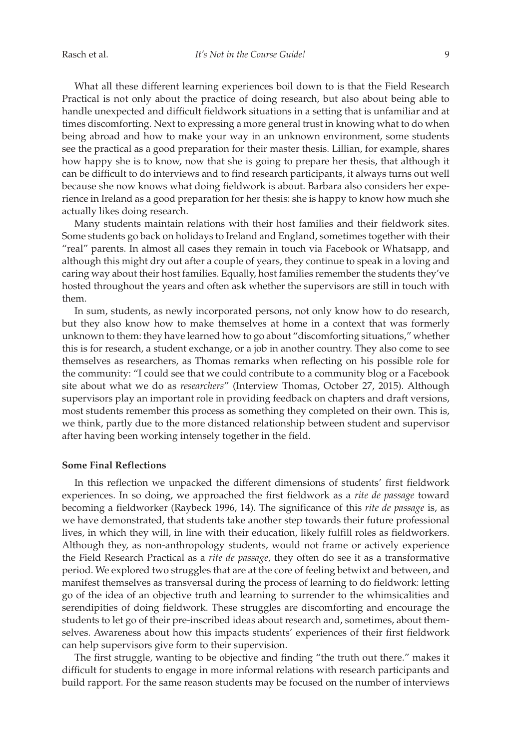What all these different learning experiences boil down to is that the Field Research Practical is not only about the practice of doing research, but also about being able to handle unexpected and difficult fieldwork situations in a setting that is unfamiliar and at times discomforting. Next to expressing a more general trust in knowing what to do when being abroad and how to make your way in an unknown environment, some students see the practical as a good preparation for their master thesis. Lillian, for example, shares how happy she is to know, now that she is going to prepare her thesis, that although it can be difficult to do interviews and to find research participants, it always turns out well because she now knows what doing fieldwork is about. Barbara also considers her experience in Ireland as a good preparation for her thesis: she is happy to know how much she actually likes doing research.

Many students maintain relations with their host families and their fieldwork sites. Some students go back on holidays to Ireland and England, sometimes together with their "real" parents. In almost all cases they remain in touch via Facebook or Whatsapp, and although this might dry out after a couple of years, they continue to speak in a loving and caring way about their host families. Equally, host families remember the students they've hosted throughout the years and often ask whether the supervisors are still in touch with them.

In sum, students, as newly incorporated persons, not only know how to do research, but they also know how to make themselves at home in a context that was formerly unknown to them: they have learned how to go about "discomforting situations," whether this is for research, a student exchange, or a job in another country. They also come to see themselves as researchers, as Thomas remarks when reflecting on his possible role for the community: "I could see that we could contribute to a community blog or a Facebook site about what we do as *researchers*" (Interview Thomas, October 27, 2015). Although supervisors play an important role in providing feedback on chapters and draft versions, most students remember this process as something they completed on their own. This is, we think, partly due to the more distanced relationship between student and supervisor after having been working intensely together in the field.

### **Some Final Reflections**

In this reflection we unpacked the different dimensions of students' first fieldwork experiences. In so doing, we approached the first fieldwork as a *rite de passage* toward becoming a fieldworker (Raybeck 1996, 14). The significance of this *rite de passage* is, as we have demonstrated, that students take another step towards their future professional lives, in which they will, in line with their education, likely fulfill roles as fieldworkers. Although they, as non-anthropology students, would not frame or actively experience the Field Research Practical as a *rite de passage*, they often do see it as a transformative period. We explored two struggles that are at the core of feeling betwixt and between, and manifest themselves as transversal during the process of learning to do fieldwork: letting go of the idea of an objective truth and learning to surrender to the whimsicalities and serendipities of doing fieldwork. These struggles are discomforting and encourage the students to let go of their pre-inscribed ideas about research and, sometimes, about themselves. Awareness about how this impacts students' experiences of their first fieldwork can help supervisors give form to their supervision.

The first struggle, wanting to be objective and finding "the truth out there." makes it difficult for students to engage in more informal relations with research participants and build rapport. For the same reason students may be focused on the number of interviews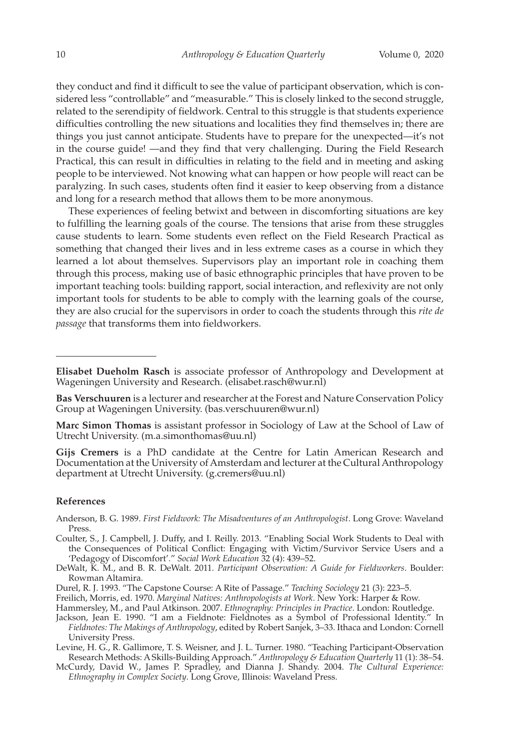they conduct and find it difficult to see the value of participant observation, which is considered less "controllable" and "measurable." This is closely linked to the second struggle, related to the serendipity of fieldwork. Central to this struggle is that students experience difficulties controlling the new situations and localities they find themselves in; there are things you just cannot anticipate. Students have to prepare for the unexpected—it's not in the course guide! —and they find that very challenging. During the Field Research Practical, this can result in difficulties in relating to the field and in meeting and asking people to be interviewed. Not knowing what can happen or how people will react can be paralyzing. In such cases, students often find it easier to keep observing from a distance and long for a research method that allows them to be more anonymous.

These experiences of feeling betwixt and between in discomforting situations are key to fulfilling the learning goals of the course. The tensions that arise from these struggles cause students to learn. Some students even reflect on the Field Research Practical as something that changed their lives and in less extreme cases as a course in which they learned a lot about themselves. Supervisors play an important role in coaching them through this process, making use of basic ethnographic principles that have proven to be important teaching tools: building rapport, social interaction, and reflexivity are not only important tools for students to be able to comply with the learning goals of the course, they are also crucial for the supervisors in order to coach the students through this *rite de passage* that transforms them into fieldworkers.

**Gijs Cremers** is a PhD candidate at the Centre for Latin American Research and Documentation at the University of Amsterdam and lecturer at the Cultural Anthropology department at Utrecht University. ([g.cremers@uu.nl\)](mailto:g.cremers@uu.nl)

#### **References**

- Anderson, B. G. 1989. *First Fieldwork: The Misadventures of an Anthropologist*. Long Grove: Waveland Press.
- Coulter, S., J. Campbell, J. Duffy, and I. Reilly. 2013. "Enabling Social Work Students to Deal with the Consequences of Political Conflict: Engaging with Victim/Survivor Service Users and a 'Pedagogy of Discomfort'." *Social Work Education* 32 (4): 439–52.
- DeWalt, K. M., and B. R. DeWalt. 2011. *Participant Observation: A Guide for Fieldworkers*. Boulder: Rowman Altamira.
- Durel, R. J. 1993. "The Capstone Course: A Rite of Passage." *Teaching Sociology* 21 (3): 223–5.
- Freilich, Morris, ed. 1970. *Marginal Natives: Anthropologists at Work*. New York: Harper & Row.
- Hammersley, M., and Paul Atkinson. 2007. *Ethnography: Principles in Practice*. London: Routledge.
- Jackson, Jean E. 1990. "I am a Fieldnote: Fieldnotes as a Symbol of Professional Identity." In *Fieldnotes: The Makings of Anthropology*, edited by Robert Sanjek, 3–33. Ithaca and London: Cornell University Press.
- Levine, H. G., R. Gallimore, T. S. Weisner, and J. L. Turner. 1980. "Teaching Participant-Observation Research Methods: A Skills-Building Approach." *Anthropology & Education Quarterly* 11 (1): 38–54.
- McCurdy, David W., James P. Spradley, and Dianna J. Shandy. 2004. *The Cultural Experience: Ethnography in Complex Society*. Long Grove, Illinois: Waveland Press.

**Elisabet Dueholm Rasch** is associate professor of Anthropology and Development at Wageningen University and Research. [\(elisabet.rasch@wur.nl](mailto:elisabet.rasch@wur.nl))

**Bas Verschuuren** is a lecturer and researcher at the Forest and Nature Conservation Policy Group at Wageningen University. [\(bas.verschuuren@wur.nl](mailto:bas.verschuuren@wur.nl))

**Marc Simon Thomas** is assistant professor in Sociology of Law at the School of Law of Utrecht University. [\(m.a.simonthomas@uu.nl](mailto:m.a.simonthomas@uu.nl))